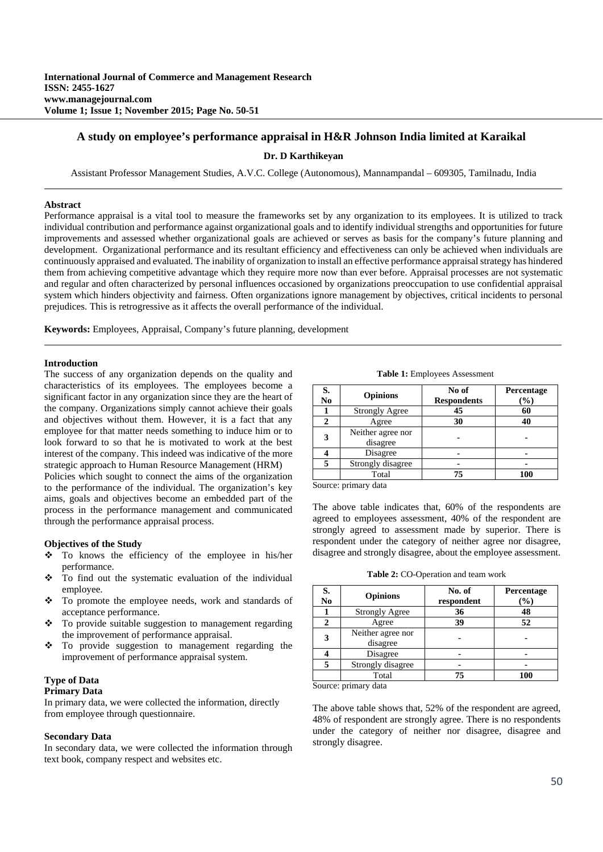# **A study on employee's performance appraisal in H&R Johnson India limited at Karaikal**

**Dr. D Karthikeyan**

Assistant Professor Management Studies, A.V.C. College (Autonomous), Mannampandal – 609305, Tamilnadu, India

#### **Abstract**

Performance appraisal is a vital tool to measure the frameworks set by any organization to its employees. It is utilized to track individual contribution and performance against organizational goals and to identify individual strengths and opportunities for future improvements and assessed whether organizational goals are achieved or serves as basis for the company's future planning and development. Organizational performance and its resultant efficiency and effectiveness can only be achieved when individuals are continuously appraised and evaluated. The inability of organization to install an effective performance appraisal strategy has hindered them from achieving competitive advantage which they require more now than ever before. Appraisal processes are not systematic and regular and often characterized by personal influences occasioned by organizations preoccupation to use confidential appraisal system which hinders objectivity and fairness. Often organizations ignore management by objectives, critical incidents to personal prejudices. This is retrogressive as it affects the overall performance of the individual.

**Keywords:** Employees, Appraisal, Company's future planning, development

#### **Introduction**

The success of any organization depends on the quality and characteristics of its employees. The employees become a significant factor in any organization since they are the heart of the company. Organizations simply cannot achieve their goals and objectives without them. However, it is a fact that any employee for that matter needs something to induce him or to look forward to so that he is motivated to work at the best interest of the company. This indeed was indicative of the more strategic approach to Human Resource Management (HRM)

Policies which sought to connect the aims of the organization to the performance of the individual. The organization's key aims, goals and objectives become an embedded part of the process in the performance management and communicated through the performance appraisal process.

#### **Objectives of the Study**

- To knows the efficiency of the employee in his/her performance.
- \* To find out the systematic evaluation of the individual employee.
- \* To promote the employee needs, work and standards of acceptance performance.
- To provide suitable suggestion to management regarding the improvement of performance appraisal.
- $\div$  To provide suggestion to management regarding the improvement of performance appraisal system.

## **Type of Data**

### **Primary Data**

In primary data, we were collected the information, directly from employee through questionnaire.

### **Secondary Data**

In secondary data, we were collected the information through text book, company respect and websites etc.

**Table 1:** Employees Assessment

| S.<br>N <sub>0</sub> | <b>Opinions</b>               | No of<br><b>Respondents</b> | Percentage<br>$(\%)$ |
|----------------------|-------------------------------|-----------------------------|----------------------|
|                      | <b>Strongly Agree</b>         | 45                          | 60                   |
|                      | Agree                         | 30                          | 40                   |
|                      | Neither agree nor<br>disagree |                             |                      |
|                      | Disagree                      |                             |                      |
|                      | Strongly disagree             |                             |                      |
|                      | Total                         | 75                          | 100                  |

Source: primary data

The above table indicates that, 60% of the respondents are agreed to employees assessment, 40% of the respondent are strongly agreed to assessment made by superior. There is respondent under the category of neither agree nor disagree, disagree and strongly disagree, about the employee assessment.

**Table 2:** CO-Operation and team work

| S.<br>No | <b>Opinions</b>               | No. of<br>respondent | Percentage<br>(%) |
|----------|-------------------------------|----------------------|-------------------|
|          | <b>Strongly Agree</b>         | 36                   | 48                |
| 2        | Agree                         | 39                   | 52                |
| 3        | Neither agree nor<br>disagree |                      |                   |
|          | Disagree                      |                      |                   |
| 5        | Strongly disagree             |                      |                   |
|          | Total                         | 75                   | 100               |

Source: primary data

The above table shows that, 52% of the respondent are agreed, 48% of respondent are strongly agree. There is no respondents under the category of neither nor disagree, disagree and strongly disagree.